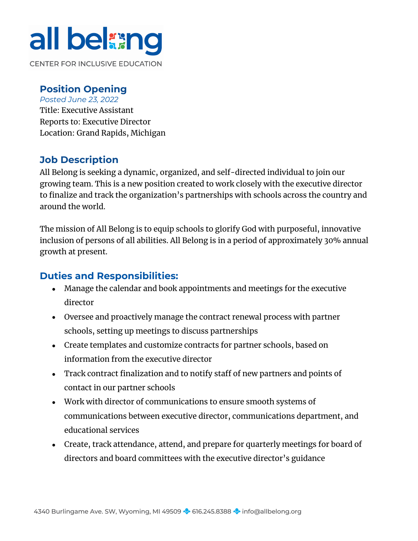# all belang

**CENTER FOR INCLUSIVE EDUCATION** 

#### **Position Opening**

*Posted June 23, 2022* Title: Executive Assistant Reports to: Executive Director Location: Grand Rapids, Michigan

#### **Job Description**

All Belong is seeking a dynamic, organized, and self-directed individual to join our growing team. This is a new position created to work closely with the executive director to finalize and track the organization's partnerships with schools across the country and around the world.

The mission of All Belong is to equip schools to glorify God with purposeful, innovative inclusion of persons of all abilities. All Belong is in a period of approximately 30% annual growth at present.

#### **Duties and Responsibilities:**

- Manage the calendar and book appointments and meetings for the executive director
- Oversee and proactively manage the contract renewal process with partner schools, setting up meetings to discuss partnerships
- Create templates and customize contracts for partner schools, based on information from the executive director
- Track contract finalization and to notify staff of new partners and points of contact in our partner schools
- Work with director of communications to ensure smooth systems of communications between executive director, communications department, and educational services
- Create, track attendance, attend, and prepare for quarterly meetings for board of directors and board committees with the executive director's guidance